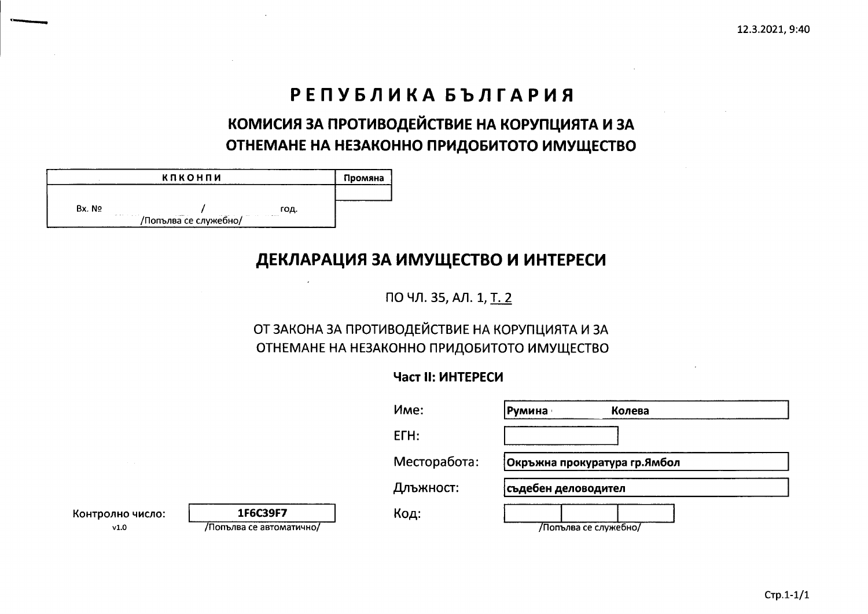# РЕПУБЛИКА БЪЛГАРИЯ

# КОМИСИЯ ЗА ПРОТИВОДЕЙСТВИЕ НА КОРУПЦИЯТА И ЗА ОТНЕМАНЕ НА НЕЗАКОННО ПРИДОБИТОТО ИМУЩЕСТВО

|                    | кпконпи                                      |      | Промяна |
|--------------------|----------------------------------------------|------|---------|
|                    |                                              |      |         |
| Bx. No             |                                              | год. |         |
| product to a prob- | <b>Construction</b><br>/Попълва се служебно/ | .    |         |

## ДЕКЛАРАЦИЯ ЗА ИМУЩЕСТВО И ИНТЕРЕСИ

ПО ЧЛ. 35, АЛ. 1, Т. 2

## ОТ ЗАКОНА ЗА ПРОТИВОДЕЙСТВИЕ НА КОРУПЦИЯТА И ЗА ОТНЕМАНЕ НА НЕЗАКОННО ПРИДОБИТОТО ИМУЩЕСТВО

## Част II: ИНТЕРЕСИ

|                          |                                      | Mme:         | Колева<br> Румина            |
|--------------------------|--------------------------------------|--------------|------------------------------|
|                          |                                      | ETH:         |                              |
| the contract of the con- |                                      | Месторабота: | Окръжна прокуратура гр.Ямбол |
|                          |                                      | Длъжност:    | <b> съдебен деловодител</b>  |
| Контролно число:<br>v1.0 | 1F6C39F7<br>/Попълва се автоматично/ | Код:         | /Попълва се служебно/        |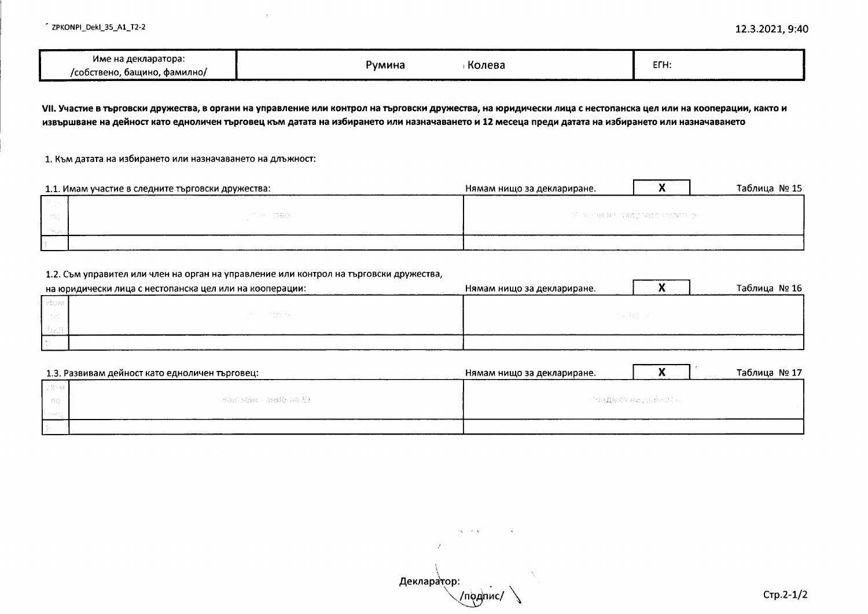| Име на декларатора:               |                  | EFH: |
|-----------------------------------|------------------|------|
| , фамилно/<br>/собствено. башино. | Колева<br>∼∨мина |      |

VII. Участие в търговски дружества, в органи на управление или контрол на търговски дружества, на юридически лица с нестопанска цел или на кооперации, както и извършване на дейност като едноличен търговец към датата на избирането или назначаването и 12 месеца преди датата на избирането или назначаването

1. Към датата на избирането или назначаването на длъжност:

|                          | 1.1. Имам участие в следните търговски дружества: | Нямам нищо за деклариране. |  | Таблица № 15 |
|--------------------------|---------------------------------------------------|----------------------------|--|--------------|
|                          |                                                   |                            |  |              |
| $\sim$ 10 $\pm$ 10 $\pm$ | 计内容 的复数                                           | - 下記の記事に対する資産の活躍の内側は100万円。 |  |              |
|                          |                                                   |                            |  |              |
|                          |                                                   |                            |  |              |

#### 1.2. Съм управител или член на орган на управление или контрол на търговски дружества,

|        | на юридически лица с нестопанска цел или на кооперации: | Нямам нищо за деклариране. | Таблица № 16 |
|--------|---------------------------------------------------------|----------------------------|--------------|
| - Elek |                                                         |                            |              |
|        | in tre, ex                                              | 计图形 医多重的 网络                |              |
|        |                                                         |                            |              |
|        |                                                         |                            |              |

|       | 1.3. Развивам дейност като едноличен търговец: | Нямам нищо за деклариране. |                      | Таблица № 17 |
|-------|------------------------------------------------|----------------------------|----------------------|--------------|
| Lifoa |                                                |                            |                      |              |
| - 197 | - Maxesseach aaste da 51 -                     |                            | - FORANCE REDUCK COP |              |
|       |                                                |                            |                      |              |
|       |                                                |                            |                      |              |

Деклара тор: /подпис/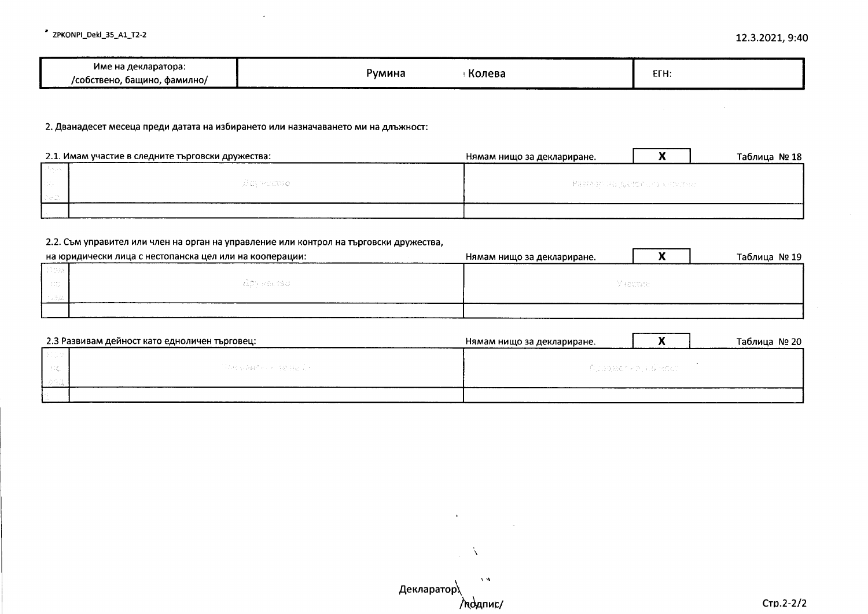$\mathcal{L}_{\text{max}}$  and  $\mathcal{L}_{\text{max}}$  and  $\mathcal{L}_{\text{max}}$ 

| Колева<br>CFU.<br>Румина<br>LI I I.<br>фамилно,<br>'собствено.<br>. оашино. | декларатора:<br>име: |
|-----------------------------------------------------------------------------|----------------------|
|-----------------------------------------------------------------------------|----------------------|

2. Дванадесет месеца преди датата на избирането или назначаването ми на длъжност:

|          | 2.1. Имам участие в следните търговски дружества: | Нямам нищо за деклариране.             |  | Таблица № 18 |
|----------|---------------------------------------------------|----------------------------------------|--|--------------|
| دي سيائي |                                                   | — Мазлеар реакции (1904 г.) користан к |  |              |
| la provi | - ZEAN-KITER                                      |                                        |  |              |
| l Colo   |                                                   |                                        |  |              |
|          |                                                   |                                        |  |              |

### 2.2. Съм управител или член на орган на управление или контрол на търговски дружества,

| на юридически лица с нестопанска цел или на кооперации: | Нямам нищо за деклариране. |           | Таблица № 19 |
|---------------------------------------------------------|----------------------------|-----------|--------------|
|                                                         |                            |           |              |
| RAD HARTSU                                              |                            | Maacriste |              |
|                                                         |                            |           |              |
|                                                         |                            |           |              |

|        | 2.3 Развивам дейност като едноличен търговец: | Нямам нищо за деклариране. | Таблица № 20 |
|--------|-----------------------------------------------|----------------------------|--------------|
|        |                                               |                            |              |
| $-120$ | Tibe case of the age for                      | — бораметне наймарт I      |              |
|        |                                               |                            |              |
|        |                                               |                            |              |

 $\mathcal{N}(\mathcal{M})$ Декларатор MOANNE/

 $\mathbf{A}^{\prime}$